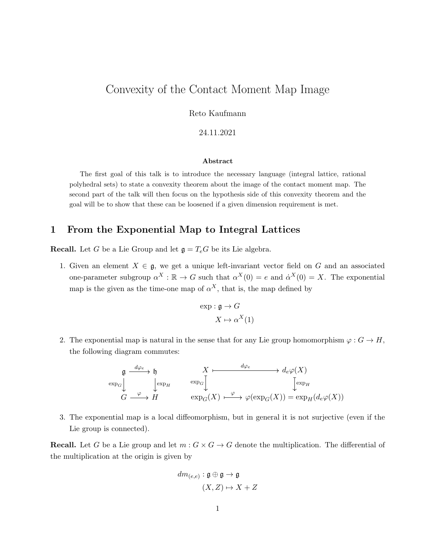# Convexity of the Contact Moment Map Image

Reto Kaufmann

24.11.2021

#### Abstract

The first goal of this talk is to introduce the necessary language (integral lattice, rational polyhedral sets) to state a convexity theorem about the image of the contact moment map. The second part of the talk will then focus on the hypothesis side of this convexity theorem and the goal will be to show that these can be loosened if a given dimension requirement is met.

### 1 From the Exponential Map to Integral Lattices

**Recall.** Let G be a Lie Group and let  $\mathfrak{g} = T_eG$  be its Lie algebra.

1. Given an element  $X \in \mathfrak{g}$ , we get a unique left-invariant vector field on G and an associated one-parameter subgroup  $\alpha^X : \mathbb{R} \to G$  such that  $\alpha^X(0) = e$  and  $\dot{\alpha}^X(0) = X$ . The exponential map is the given as the time-one map of  $\alpha^X$ , that is, the map defined by

$$
\exp : \mathfrak{g} \to G
$$

$$
X \mapsto \alpha^X(1)
$$

2. The exponential map is natural in the sense that for any Lie group homomorphism  $\varphi : G \to H$ , the following diagram commutes:



3. The exponential map is a local diffeomorphism, but in general it is not surjective (even if the Lie group is connected).

**Recall.** Let G be a Lie group and let  $m: G \times G \to G$  denote the multiplication. The differential of the multiplication at the origin is given by

$$
dm_{(e,e)}: \mathfrak{g} \oplus \mathfrak{g} \to \mathfrak{g}
$$

$$
(X, Z) \mapsto X + Z
$$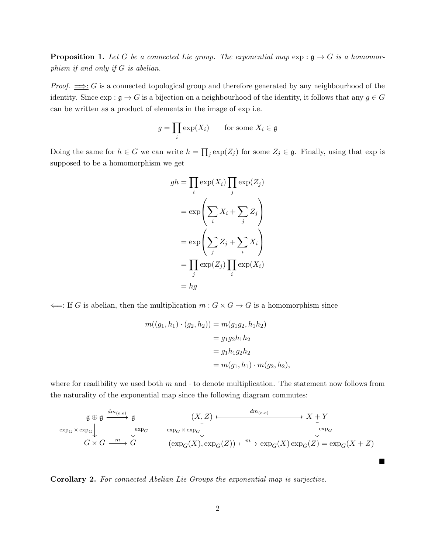**Proposition 1.** Let G be a connected Lie group. The exponential map  $\exp : \mathfrak{g} \to G$  is a homomorphism if and only if G is abelian.

*Proof.*  $\implies$ : G is a connected topological group and therefore generated by any neighbourhood of the identity. Since  $\exp : \mathfrak{g} \to G$  is a bijection on a neighbourhood of the identity, it follows that any  $g \in G$ can be written as a product of elements in the image of exp i.e.

$$
g = \prod_i \exp(X_i) \qquad \text{for some } X_i \in \mathfrak{g}
$$

Doing the same for  $h \in G$  we can write  $h = \prod_j \exp(Z_j)$  for some  $Z_j \in \mathfrak{g}$ . Finally, using that  $\exp$  is supposed to be a homomorphism we get

$$
gh = \prod_{i} \exp(X_i) \prod_{j} \exp(Z_j)
$$
  
= 
$$
\exp\left(\sum_{i} X_i + \sum_{j} Z_j\right)
$$
  
= 
$$
\exp\left(\sum_{j} Z_j + \sum_{i} X_i\right)
$$
  
= 
$$
\prod_{j} \exp(Z_j) \prod_{i} \exp(X_i)
$$
  
= 
$$
hg
$$

 $\leftarrow$ : If G is abelian, then the multiplication  $m : G \times G \rightarrow G$  is a homomorphism since

$$
m((g_1, h_1) \cdot (g_2, h_2)) = m(g_1g_2, h_1h_2)
$$
  
=  $g_1g_2h_1h_2$   
=  $g_1h_1g_2h_2$   
=  $m(g_1, h_1) \cdot m(g_2, h_2)$ ,

where for readibility we used both  $m$  and  $\cdot$  to denote multiplication. The statement now follows from the naturality of the exponential map since the following diagram commutes:

$$
\mathfrak{g} \oplus \mathfrak{g} \xrightarrow{dm_{(e,e)}} \mathfrak{g} \xrightarrow{\text{exp}_G \times \text{exp}_G} \mathfrak{g} \xrightarrow{\text{exp}_G \times \text{exp}_G} \mathfrak{g} \xrightarrow{\text{exp}_G \times \text{exp}_G} \mathfrak{g} \xrightarrow{\text{exp}_G \times \text{exp}_G} \mathfrak{g} \xrightarrow{\text{exp}_G \times \text{exp}_G} \mathfrak{g} \xrightarrow{\text{exp}_G \times \text{exp}_G} \mathfrak{g} \xrightarrow{\text{exp}_G \times \text{exp}_G} (X) \xrightarrow{\text{exp}_G \times \text{exp}_G} (X) \xrightarrow{\text{exp}_G \times \text{exp}_G} (X) \xrightarrow{\text{exp}_G \times \text{exp}_G} (X) \xrightarrow{\text{exp}_G \times \text{exp}_G} (X) \xrightarrow{\text{exp}_G \times \text{exp}_G} (X) \xrightarrow{\text{exp}_G \times \text{exp}_G} (X) \xrightarrow{\text{exp}_G \times \text{exp}_G} (X) \xrightarrow{\text{exp}_G \times \text{exp}_G} (X) \xrightarrow{\text{exp}_G \times \text{exp}_G} (X) \xrightarrow{\text{exp}_G \times \text{exp}_G} (X) \xrightarrow{\text{exp}_G \times \text{exp}_G} (X) \xrightarrow{\text{exp}_G \times \text{exp}_G} (X) \xrightarrow{\text{exp}_G \times \text{exp}_G} (X) \xrightarrow{\text{exp}_G \times \text{exp}_G} (X) \xrightarrow{\text{exp}_G \times \text{exp}_G} (X) \xrightarrow{\text{exp}_G \times \text{exp}_G} (X) \xrightarrow{\text{exp}_G \times \text{exp}_G} (X) \xrightarrow{\text{exp}_G \times \text{exp}_G} (X) \xrightarrow{\text{exp}_G \times \text{exp}_G} (X) \xrightarrow{\text{exp}_G \times \text{exp}_G} (X) \xrightarrow{\text{exp}_G \times \text{exp}_G} (X) \xrightarrow{\text{exp}_G \times \text{exp}_G} (X) \xrightarrow{\text{exp}_G \times \text{exp}_G} (X) \xrightarrow{\text{exp}_G \times \text{exp}_G} (X) \xrightarrow{\text{exp}_G \times \text{exp}_G} (X) \xrightarrow{\text{exp}_G \times \text{exp}_G} (X) \xrightarrow{\text{exp}_G
$$

■

Corollary 2. For connected Abelian Lie Groups the exponential map is surjective.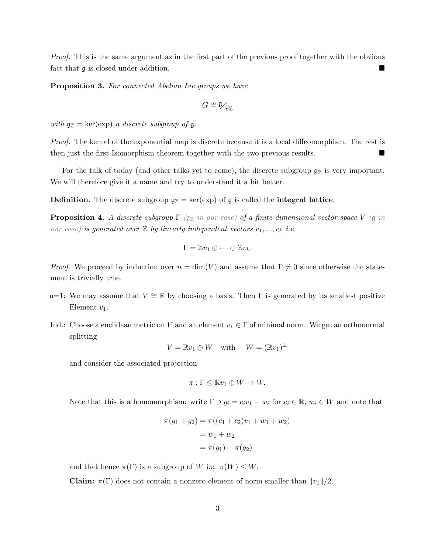Proof. This is the same argument as in the first part of the previous proof together with the obvious fact that  $\mathfrak g$  is closed under addition.

Proposition 3. For connected Abelian Lie groups we have

$$
G\cong \overline{\mathfrak{g}}_{\mathfrak{g}_{\mathbb{Z}}}
$$

with  $\mathfrak{g}_{\mathbb{Z}} = \ker(\exp)$  a discrete subgroup of  $\mathfrak{g}$ .

Proof. The kernel of the exponential map is discrete because it is a local diffeomorphism. The rest is then just the first Isomorphism theorem together with the two previous results.

For the talk of today (and other talks yet to come), the discrete subgroup  $\mathfrak{g}_\mathbb{Z}$  is very important. We will therefore give it a name and try to understand it a bit better.

**Definition.** The discrete subgroup  $g_Z = \text{ker}(\exp)$  of g is called the **integral lattice**.

**Proposition 4.** A discrete subgroup  $\Gamma$  ( $\mathfrak{g}_\mathbb{Z}$  in our case) of a finite dimensional vector space V ( $\mathfrak{g}$  in our case) is generated over  $\mathbb Z$  by linearly independent vectors  $v_1, ..., v_k$  i.e.

$$
\Gamma = \mathbb{Z}v_1 \oplus \cdots \oplus \mathbb{Z}v_k.
$$

*Proof.* We proceed by induction over  $n = \dim(V)$  and assume that  $\Gamma \neq 0$  since otherwise the statement is trivially true.

- n=1: We may assume that  $V \cong \mathbb{R}$  by choosing a basis. Then Γ is generated by its smallest positive Element  $v_1$ .
- Ind.: Choose a euclidean metric on V and an element  $v_1 \in \Gamma$  of minimal norm. We get an orthonormal splitting

$$
V = \mathbb{R}v_1 \oplus W \quad \text{with} \quad W = (\mathbb{R}v_1)^{\perp}
$$

and consider the associated projection

$$
\pi: \Gamma \leq \mathbb{R}v_1 \oplus W \to W.
$$

Note that this is a homomorphism: write  $\Gamma \ni g_i = c_i v_1 + w_i$  for  $c_i \in \mathbb{R}$ ,  $w_i \in W$  and note that

$$
\pi(g_1 + g_2) = \pi((c_1 + c_2)v_1 + w_1 + w_2)
$$
  
=  $w_1 + w_2$   
=  $\pi(g_1) + \pi(g_2)$ 

and that hence  $\pi(\Gamma)$  is a subgroup of W i.e.  $\pi(W) \leq W$ .

**Claim:**  $\pi(\Gamma)$  does not contain a nonzero element of norm smaller than  $||v_1||/2$ .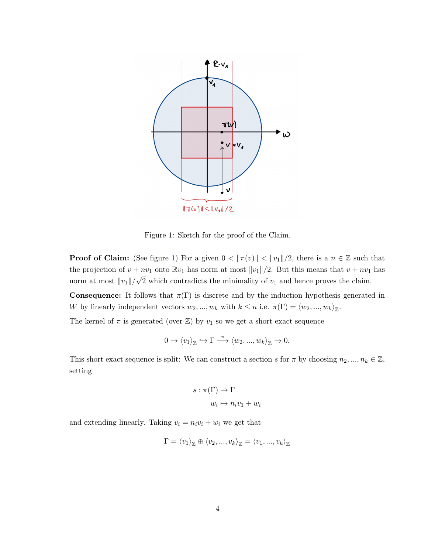

<span id="page-3-0"></span>Figure 1: Sketch for the proof of the Claim.

**Proof of Claim:** (See figure [1\)](#page-3-0) For a given  $0 < ||\pi(v)|| < ||v_1||/2$ , there is a  $n \in \mathbb{Z}$  such that the projection of  $v + nv_1$  onto  $\mathbb{R}v_1$  has norm at most  $||v_1||/2$ . But this means that  $v + nv_1$  has norm at most  $||v_1||/$ √ 2 which contradicts the minimality of  $v_1$  and hence proves the claim.

**Consequence:** It follows that  $\pi(\Gamma)$  is discrete and by the induction hypothesis generated in W by linearly independent vectors  $w_2, ..., w_k$  with  $k \leq n$  i.e.  $\pi(\Gamma) = \langle w_2, ..., w_k \rangle_{\mathbb{Z}}$ .

The kernel of  $\pi$  is generated (over  $\mathbb{Z}$ ) by  $v_1$  so we get a short exact sequence

$$
0 \to \langle v_1 \rangle_{\mathbb{Z}} \hookrightarrow \Gamma \stackrel{\pi}{\longrightarrow} \langle w_2, ..., w_k \rangle_{\mathbb{Z}} \to 0.
$$

This short exact sequence is split: We can construct a section s for  $\pi$  by choosing  $n_2, ..., n_k \in \mathbb{Z}$ , setting

$$
s : \pi(\Gamma) \to \Gamma
$$

$$
w_i \mapsto n_i v_1 + w_i
$$

and extending linearly. Taking  $v_i = n_i v_i + w_i$  we get that

$$
\Gamma = \langle v_1 \rangle_{\mathbb{Z}} \oplus \langle v_2, ..., v_k \rangle_{\mathbb{Z}} = \langle v_1, ..., v_k \rangle_{\mathbb{Z}}
$$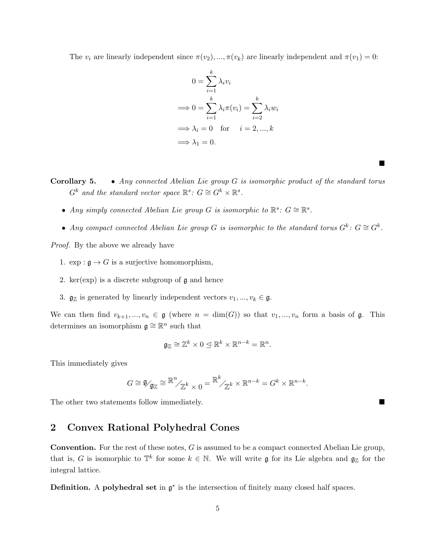The  $v_i$  are linearly independent since  $\pi(v_2), ..., \pi(v_k)$  are linearly independent and  $\pi(v_1) = 0$ :

$$
0 = \sum_{i=1}^{k} \lambda_i v_i
$$
  
\n
$$
\implies 0 = \sum_{i=1}^{k} \lambda_i \pi(v_i) = \sum_{i=2}^{k} \lambda_i w_i
$$
  
\n
$$
\implies \lambda_i = 0 \text{ for } i = 2, ..., k
$$
  
\n
$$
\implies \lambda_1 = 0.
$$

■

**Corollary 5.** • Any connected Abelian Lie group  $G$  is isomorphic product of the standard torus  $G^k$  and the standard vector space  $\mathbb{R}^s$ :  $G \cong G^k \times \mathbb{R}^s$ .

- Any simply connected Abelian Lie group G is isomorphic to  $\mathbb{R}^s$ :  $G \cong \mathbb{R}^s$ .
- Any compact connected Abelian Lie group G is isomorphic to the standard torus  $G^k$ :  $G \cong G^k$ .

Proof. By the above we already have

- 1.  $\exp : \mathfrak{g} \to G$  is a surjective homomorphism,
- 2. ker( $\exp$ ) is a discrete subgroup of  $\mathfrak g$  and hence
- 3.  $\mathfrak{g}_{\mathbb{Z}}$  is generated by linearly independent vectors  $v_1, ..., v_k \in \mathfrak{g}$ .

We can then find  $v_{k+1},...,v_n \in \mathfrak{g}$  (where  $n = \dim(G)$ ) so that  $v_1,...,v_n$  form a basis of  $\mathfrak{g}$ . This determines an isomorphism  $\mathfrak{g} \cong \mathbb{R}^n$  such that

$$
\mathfrak{g}_{\mathbb{Z}}\cong \mathbb{Z}^k\times 0\trianglelefteq \mathbb{R}^k\times \mathbb{R}^{n-k}=\mathbb{R}^n.
$$

This immediately gives

$$
G\cong \mathfrak{g}_{\mathfrak{g}_{\mathbb{Z}}}\cong \mathbb{R}^n_{/\mathbb{Z}^k\times 0}=\mathbb{R}^k_{/\mathbb{Z}^k}\times \mathbb{R}^{n-k}=G^k\times \mathbb{R}^{n-k}.
$$

The other two statements follow immediately.

#### 2 Convex Rational Polyhedral Cones

Convention. For the rest of these notes, G is assumed to be a compact connected Abelian Lie group, that is, G is isomorphic to  $\mathbb{T}^k$  for some  $k \in \mathbb{N}$ . We will write g for its Lie algebra and  $\mathfrak{g}_{\mathbb{Z}}$  for the integral lattice.

**Definition.** A **polyhedral set** in  $\mathfrak{g}^*$  is the intersection of finitely many closed half spaces.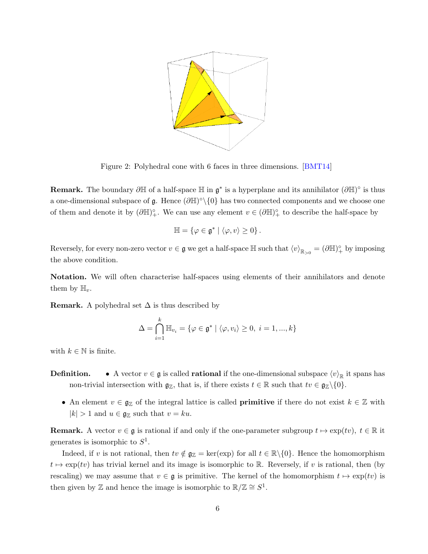

Figure 2: Polyhedral cone with 6 faces in three dimensions. [\[BMT14\]](#page-11-0)

**Remark.** The boundary  $\partial \mathbb{H}$  of a half-space  $\mathbb{H}$  in  $\mathfrak{g}^*$  is a hyperplane and its annihilator  $(\partial \mathbb{H})^{\circ}$  is thus a one-dimensional subspace of g. Hence  $(\partial \mathbb{H})^{\circ} \setminus \{0\}$  has two connected components and we choose one of them and denote it by  $(\partial \mathbb{H})^{\circ}_{+}$ . We can use any element  $v \in (\partial \mathbb{H})^{\circ}_{+}$  to describe the half-space by

$$
\mathbb{H} = \{ \varphi \in \mathfrak{g}^* \mid \langle \varphi, v \rangle \geq 0 \}.
$$

Reversely, for every non-zero vector  $v \in \mathfrak{g}$  we get a half-space  $\mathbb{H}$  such that  $\langle v \rangle_{\mathbb{R}_{>0}} = (\partial \mathbb{H})^{\circ}_{+}$  by imposing the above condition.

Notation. We will often characterise half-spaces using elements of their annihilators and denote them by  $\mathbb{H}_v$ .

**Remark.** A polyhedral set  $\Delta$  is thus described by

$$
\Delta = \bigcap_{i=1}^{k} \mathbb{H}_{v_i} = \{ \varphi \in \mathfrak{g}^* \mid \langle \varphi, v_i \rangle \ge 0, \ i = 1, ..., k \}
$$

with  $k \in \mathbb{N}$  is finite.

- **Definition.** A vector  $v \in \mathfrak{g}$  is called **rational** if the one-dimensional subspace  $\langle v \rangle_{\mathbb{R}}$  it spans has non-trivial intersection with  $\mathfrak{g}_\mathbb{Z}$ , that is, if there exists  $t \in \mathbb{R}$  such that  $tv \in \mathfrak{g}_\mathbb{Z}\backslash\{0\}$ .
	- An element  $v \in \mathfrak{g}_{\mathbb{Z}}$  of the integral lattice is called **primitive** if there do not exist  $k \in \mathbb{Z}$  with  $|k| > 1$  and  $u \in \mathfrak{g}_{\mathbb{Z}}$  such that  $v = ku$ .

**Remark.** A vector  $v \in \mathfrak{g}$  is rational if and only if the one-parameter subgroup  $t \mapsto \exp(tv), t \in \mathbb{R}$  it generates is isomorphic to  $S^1$ .

Indeed, if v is not rational, then  $tv \notin \mathfrak{g}_{\mathbb{Z}} = \text{ker}(\exp)$  for all  $t \in \mathbb{R} \setminus \{0\}$ . Hence the homomorphism  $t \mapsto \exp(tv)$  has trivial kernel and its image is isomorphic to R. Reversely, if v is rational, then (by rescaling) we may assume that  $v \in \mathfrak{g}$  is primitive. The kernel of the homomorphism  $t \mapsto \exp(tv)$  is then given by Z and hence the image is isomorphic to  $\mathbb{R}/\mathbb{Z} \cong S^1$ .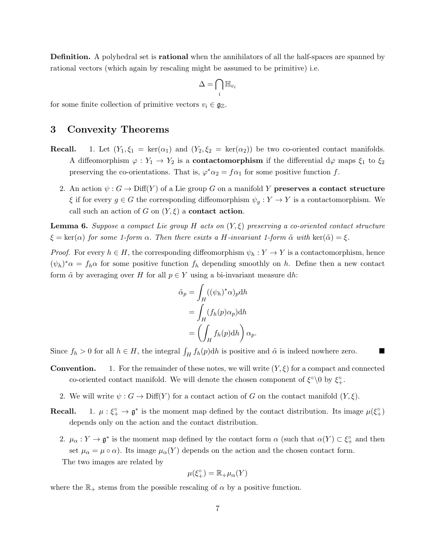Definition. A polyhedral set is rational when the annihilators of all the half-spaces are spanned by rational vectors (which again by rescaling might be assumed to be primitive) i.e.

$$
\Delta = \bigcap_i \mathbb{H}_{v_i}
$$

for some finite collection of primitive vectors  $v_i \in \mathfrak{g}_{\mathbb{Z}}$ .

## 3 Convexity Theorems

- **Recall.** 1. Let  $(Y_1, \xi_1 = \ker(\alpha_1)$  and  $(Y_2, \xi_2 = \ker(\alpha_2))$  be two co-oriented contact manifolds. A diffeomorphism  $\varphi: Y_1 \to Y_2$  is a **contactomorphism** if the differential  $d\varphi$  maps  $\xi_1$  to  $\xi_2$ preserving the co-orientations. That is,  $\varphi^* \alpha_2 = f \alpha_1$  for some positive function f.
	- 2. An action  $\psi: G \to \text{Diff}(Y)$  of a Lie group G on a manifold Y preserves a contact structure  $\xi$  if for every  $g \in G$  the corresponding diffeomorphism  $\psi_q : Y \to Y$  is a contactomorphism. We call such an action of G on  $(Y, \xi)$  a **contact action**.

**Lemma 6.** Suppose a compact Lie group H acts on  $(Y, \xi)$  preserving a co-oriented contact structure  $\xi = \ker(\alpha)$  for some 1-form  $\alpha$ . Then there esixts a H-invariant 1-form  $\tilde{\alpha}$  with  $\ker(\tilde{\alpha}) = \xi$ .

*Proof.* For every  $h \in H$ , the corresponding diffeomorphism  $\psi_h : Y \to Y$  is a contactomorphism, hence  $(\psi_h)^*\alpha = f_h\alpha$  for some positive function  $f_h$  depending smoothly on h. Define then a new contact form  $\tilde{\alpha}$  by averaging over H for all  $p \in Y$  using a bi-invariant measure dh:

$$
\tilde{\alpha}_p = \int_H ((\psi_h)^* \alpha)_p \mathrm{d}h \n= \int_H (f_h(p) \alpha_p) \mathrm{d}h \n= \left( \int_H f_h(p) \mathrm{d}h \right) \alpha_p.
$$

Since  $f_h > 0$  for all  $h \in H$ , the integral  $\int_H f_h(p) dh$  is positive and  $\tilde{\alpha}$  is indeed nowhere zero.

- **Convention.** 1. For the remainder of these notes, we will write  $(Y, \xi)$  for a compact and connected co-oriented contact manifold. We will denote the chosen component of  $\xi^{\circ}\setminus 0$  by  $\xi^{\circ}_+$ .
	- 2. We will write  $\psi : G \to \text{Diff}(Y)$  for a contact action of G on the contact manifold  $(Y, \xi)$ .
- **Recall.** 1.  $\mu: \xi_{+}^{\circ} \to \mathfrak{g}^*$  is the moment map defined by the contact distribution. Its image  $\mu(\xi_{+}^{\circ})$ depends only on the action and the contact distribution.
	- 2.  $\mu_\alpha: Y \to \mathfrak{g}^*$  is the moment map defined by the contact form  $\alpha$  (such that  $\alpha(Y) \subset \xi_+^\circ$  and then set  $\mu_{\alpha} = \mu \circ \alpha$ ). Its image  $\mu_{\alpha}(Y)$  depends on the action and the chosen contact form. The two images are related by

$$
\mu(\xi_+^\circ) = \mathbb{R}_+ \mu_\alpha(Y)
$$

where the  $\mathbb{R}_+$  stems from the possible rescaling of  $\alpha$  by a positive function.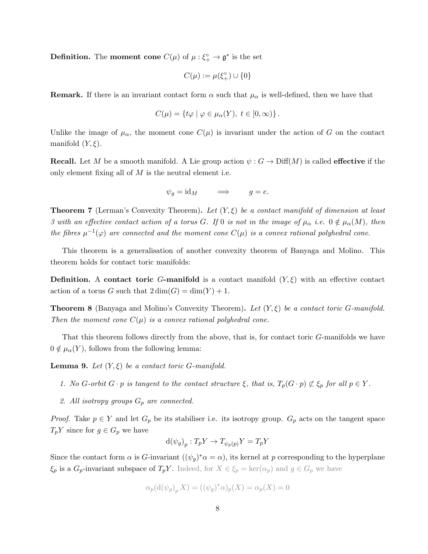**Definition.** The **moment cone**  $C(\mu)$  of  $\mu : \xi_{+}^{\circ} \to \mathfrak{g}^*$  is the set

$$
C(\mu):=\mu(\xi^\circ_+)\cup\{0\}
$$

**Remark.** If there is an invariant contact form  $\alpha$  such that  $\mu_{\alpha}$  is well-defined, then we have that

$$
C(\mu) = \{ t\varphi \mid \varphi \in \mu_\alpha(Y), \ t \in [0, \infty) \}.
$$

Unlike the image of  $\mu_{\alpha}$ , the moment cone  $C(\mu)$  is invariant under the action of G on the contact manifold  $(Y, \xi)$ .

**Recall.** Let M be a smooth manifold. A Lie group action  $\psi$ :  $G \to \text{Diff}(M)$  is called **effective** if the only element fixing all of  $M$  is the neutral element i.e.

$$
\psi_g = id_M \qquad \Longrightarrow \qquad g = e.
$$

**Theorem 7** (Lerman's Convexity Theorem). Let  $(Y, \xi)$  be a contact manifold of dimension at least 3 with an effective contact action of a torus G. If 0 is not in the image of  $\mu_{\alpha}$  i.e.  $0 \notin \mu_{\alpha}(M)$ , then the fibres  $\mu^{-1}(\varphi)$  are connected and the moment cone  $C(\mu)$  is a convex rational polyhedral cone.

This theorem is a generalisation of another convexity theorem of Banyaga and Molino. This theorem holds for contact toric manifolds:

**Definition.** A contact toric G-manifold is a contact manifold  $(Y, \xi)$  with an effective contact action of a torus G such that  $2 \dim(G) = \dim(Y) + 1$ .

**Theorem 8** (Banyaga and Molino's Convexity Theorem). Let  $(Y, \xi)$  be a contact toric G-manifold. Then the moment cone  $C(\mu)$  is a convex rational polyhedral cone.

That this theorem follows directly from the above, that is, for contact toric G-manifolds we have  $0 \notin \mu_\alpha(Y)$ , follows from the following lemma:

**Lemma 9.** Let  $(Y, \xi)$  be a contact toric G-manifold.

- 1. No G-orbit  $G \cdot p$  is tangent to the contact structure  $\xi$ , that is,  $T_p(G \cdot p) \not\subset \xi_p$  for all  $p \in Y$ .
- 2. All isotropy groups  $G_p$  are connected.

*Proof.* Take  $p \in Y$  and let  $G_p$  be its stabiliser i.e. its isotropy group.  $G_p$  acts on the tangent space  $T_pY$  since for  $g \in G_p$  we have

$$
d(\psi_g)_p: T_p Y \to T_{\psi_g(p)} Y = T_p Y
$$

Since the contact form  $\alpha$  is G-invariant  $((\psi_g)^*\alpha = \alpha)$ , its kernel at p corresponding to the hyperplane  $\xi_p$  is a  $G_p$ -invariant subspace of  $T_pY$ . Indeed, for  $X \in \xi_p = \ker(\alpha_p)$  and  $g \in G_p$  we have

$$
\alpha_p(\mathrm{d}(\psi_g)_p X) = ((\psi_g)^* \alpha)_p(X) = \alpha_p(X) = 0
$$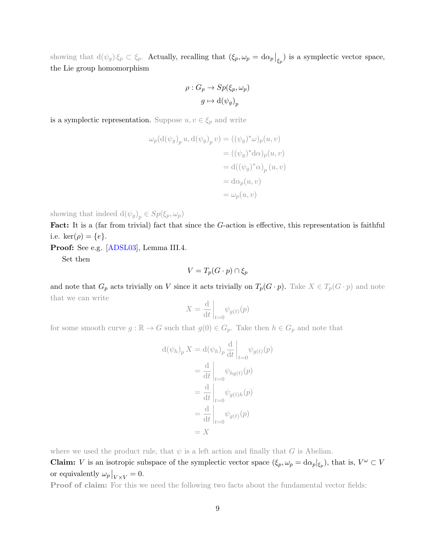showing that  $d(\psi_g) \xi_p \subset \xi_p$ . Actually, recalling that  $(\xi_p, \omega_p = d\alpha_p \big|_{\xi_p})$  is a symplectic vector space, the Lie group homomorphism

$$
\rho: G_p \to Sp(\xi_p, \omega_p)
$$

$$
g \mapsto d(\psi_g)_p
$$

is a symplectic representation. Suppose  $u, v \in \xi_p$  and write

$$
\omega_p(\mathrm{d}(\psi_g)_p u, \mathrm{d}(\psi_g)_p v) = ((\psi_g)^* \omega)_p(u, v)
$$
  

$$
= ((\psi_g)^* \mathrm{d} \alpha)_p(u, v)
$$
  

$$
= \mathrm{d}((\psi_g)^* \alpha)_p (u, v)
$$
  

$$
= \mathrm{d} \alpha_p(u, v)
$$
  

$$
= \omega_p(u, v)
$$

showing that indeed  $d(\psi_g)_p \in Sp(\xi_p, \omega_p)$ 

Fact: It is a (far from trivial) fact that since the G-action is effective, this representation is faithful i.e. ker $(\rho) = \{e\}.$ 

Proof: See e.g. [\[ADSL03\]](#page-11-1), Lemma III.4.

Set then

$$
V = T_p(G \cdot p) \cap \xi_p
$$

and note that  $G_p$  acts trivially on V since it acts trivially on  $T_p(G \cdot p)$ . Take  $X \in T_p(G \cdot p)$  and note that we can write

$$
X = \frac{\mathrm{d}}{\mathrm{d}t} \bigg|_{t=0} \psi_{g(t)}(p)
$$

for some smooth curve  $g : \mathbb{R} \to G$  such that  $g(0) \in G_p$ . Take then  $h \in G_p$  and note that

$$
d(\psi_h)_p X = d(\psi_h)_p \frac{d}{dt} \Big|_{t=0} \psi_{g(t)}(p)
$$
  
=  $\frac{d}{dt} \Big|_{t=0} \psi_{hg(t)}(p)$   
=  $\frac{d}{dt} \Big|_{t=0} \psi_{g(t)h}(p)$   
=  $\frac{d}{dt} \Big|_{t=0} \psi_{g(t)}(p)$   
= X

where we used the product rule, that  $\psi$  is a left action and finally that G is Abelian.

**Claim:** V is an isotropic subspace of the symplectic vector space  $(\xi_p, \omega_p = d\alpha_p |_{\xi_p})$ , that is,  $V^{\omega} \subset V$ or equivalently  $\omega_p|_{V \times V} = 0$ .

Proof of claim: For this we need the following two facts about the fundamental vector fields: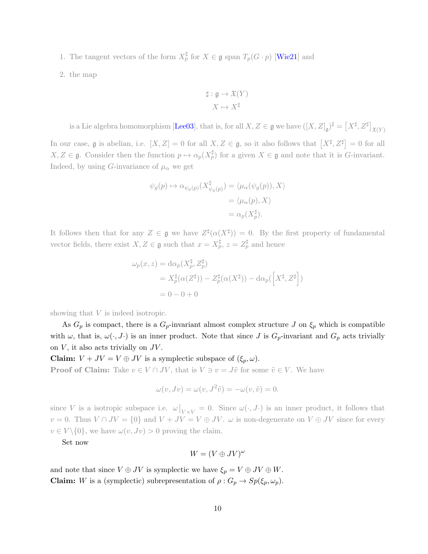1. The tangent vectors of the form  $X_p^{\sharp}$  for  $X \in \mathfrak{g}$  span  $T_p(G \cdot p)$  [\[Wie21\]](#page-11-2) and

2. the map

$$
\sharp : \mathfrak{g} \to \mathfrak{X}(Y)
$$

$$
X \mapsto X^{\sharp}
$$

is a Lie algebra homomorphism [\[Lee03\]](#page-11-3), that is, for all  $X, Z \in \mathfrak{g}$  we have  $([X, Z]_{\mathfrak{g}})^{\sharp} = \left[ X^{\sharp}, Z^{\sharp} \right]_{\mathfrak{X}(Y)}$ 

In our case, g is abelian, i.e.  $[X, Z] = 0$  for all  $X, Z \in \mathfrak{g}$ , so it also follows that  $[X^{\sharp}, Z^{\sharp}] = 0$  for all  $X, Z \in \mathfrak{g}$ . Consider then the function  $p \mapsto \alpha_p(X_p^{\sharp})$  for a given  $X \in \mathfrak{g}$  and note that it is *G*-invariant. Indeed, by using G-invariance of  $\mu_{\alpha}$  we get

$$
\psi_g(p) \mapsto \alpha_{\psi_g(p)}(X^{\sharp}_{\psi_g(p)}) = \langle \mu_\alpha(\psi_g(p)), X \rangle
$$
  
=  $\langle \mu_\alpha(p), X \rangle$   
=  $\alpha_p(X^{\sharp}_p).$ 

It follows then that for any  $Z \in \mathfrak{g}$  we have  $Z^{\sharp}(\alpha(X^{\sharp})) = 0$ . By the first property of fundamental vector fields, there exist  $X, Z \in \mathfrak{g}$  such that  $x = X_p^{\sharp}, z = Z_p^{\sharp}$  and hence

$$
\omega_p(x, z) = d\alpha_p(X_p^{\sharp}, Z_p^{\sharp})
$$
  
=  $X_p^{\sharp}(\alpha(Z^{\sharp})) - Z_p^{\sharp}(\alpha(X^{\sharp})) - d\alpha_p(\left[X^{\sharp}, Z^{\sharp}\right])$   
= 0 - 0 + 0

showing that V is indeed isotropic.

As  $G_p$  is compact, there is a  $G_p$ -invariant almost complex structure J on  $\xi_p$  which is compatible with  $\omega$ , that is,  $\omega(\cdot, J\cdot)$  is an inner product. Note that since J is  $G_p$ -invariant and  $G_p$  acts trivially on  $V$ , it also acts trivially on  $JV$ .

**Claim:**  $V + JV = V \oplus JV$  is a symplectic subspace of  $(\xi_p, \omega)$ .

**Proof of Claim:** Take  $v \in V \cap JV$ , that is  $V \ni v = J\tilde{v}$  for some  $\tilde{v} \in V$ . We have

$$
\omega(v, Jv) = \omega(v, J^2\tilde{v}) = -\omega(v, \tilde{v}) = 0.
$$

since V is a isotropic subspace i.e.  $\omega|_{V\times V} = 0$ . Since  $\omega(\cdot, J\cdot)$  is an inner product, it follows that  $v = 0$ . Thus  $V \cap JV = \{0\}$  and  $V + JV = V \oplus JV$ .  $\omega$  is non-degenerate on  $V \oplus JV$  since for every  $v \in V \setminus \{0\}$ , we have  $\omega(v, Jv) > 0$  proving the claim.

Set now

$$
W = (V \oplus JV)^{\omega}
$$

and note that since  $V \oplus JV$  is symplectic we have  $\xi_p = V \oplus JV \oplus W$ . **Claim:** W is a (symplectic) subrepresentation of  $\rho$  :  $G_p \to Sp(\xi_p, \omega_p)$ .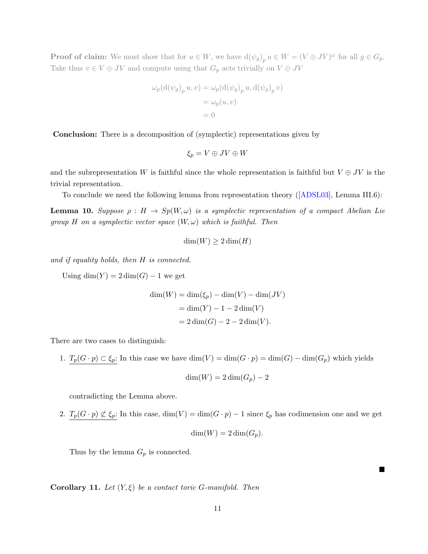**Proof of claim:** We must show that for  $u \in W$ , we have  $d(\psi_g)_p u \in W = (V \oplus JV)^\omega$  for all  $g \in G_p$ . Take thus  $v \in V \oplus JV$  and compute using that  $G_p$  acts trivially on  $V \oplus JV$ 

$$
\omega_p(\mathrm{d}(\psi_g)_p u, v) = \omega_p(\mathrm{d}(\psi_g)_p u, \mathrm{d}(\psi_g)_p v)
$$

$$
= \omega_p(u, v)
$$

$$
= 0
$$

Conclusion: There is a decomposition of (symplectic) representations given by

$$
\xi_p=V\oplus JV\oplus W
$$

and the subrepresentation W is faithful since the whole representation is faithful but  $V \oplus JV$  is the trivial representation.

To conclude we need the following lemma from representation theory([\[ADSL03\]](#page-11-1), Lemma III.6):

**Lemma 10.** Suppose  $\rho : H \to Sp(W, \omega)$  is a symplectic representation of a compact Abelian Lie group H on a symplectic vector space  $(W, \omega)$  which is faithful. Then

$$
\dim(W) \ge 2\dim(H)
$$

and if equality holds, then H is connected.

Using  $\dim(Y) = 2 \dim(G) - 1$  we get

$$
\dim(W) = \dim(\xi_p) - \dim(V) - \dim(JV)
$$

$$
= \dim(Y) - 1 - 2\dim(V)
$$

$$
= 2\dim(G) - 2 - 2\dim(V).
$$

There are two cases to distinguish:

1.  $T_p(G \cdot p) \subset \xi_p$ : In this case we have  $\dim(V) = \dim(G \cdot p) = \dim(G) - \dim(G_p)$  which yields

$$
\dim(W) = 2\dim(G_p) - 2
$$

contradicting the Lemma above.

2.  $T_p(G \cdot p) \not\subset \xi_p$ : In this case,  $\dim(V) = \dim(G \cdot p) - 1$  since  $\xi_p$  has codimension one and we get

$$
\dim(W) = 2\dim(G_p).
$$

■

Thus by the lemma  $G_p$  is connected.

**Corollary 11.** Let  $(Y, \xi)$  be a contact toric G-manifold. Then